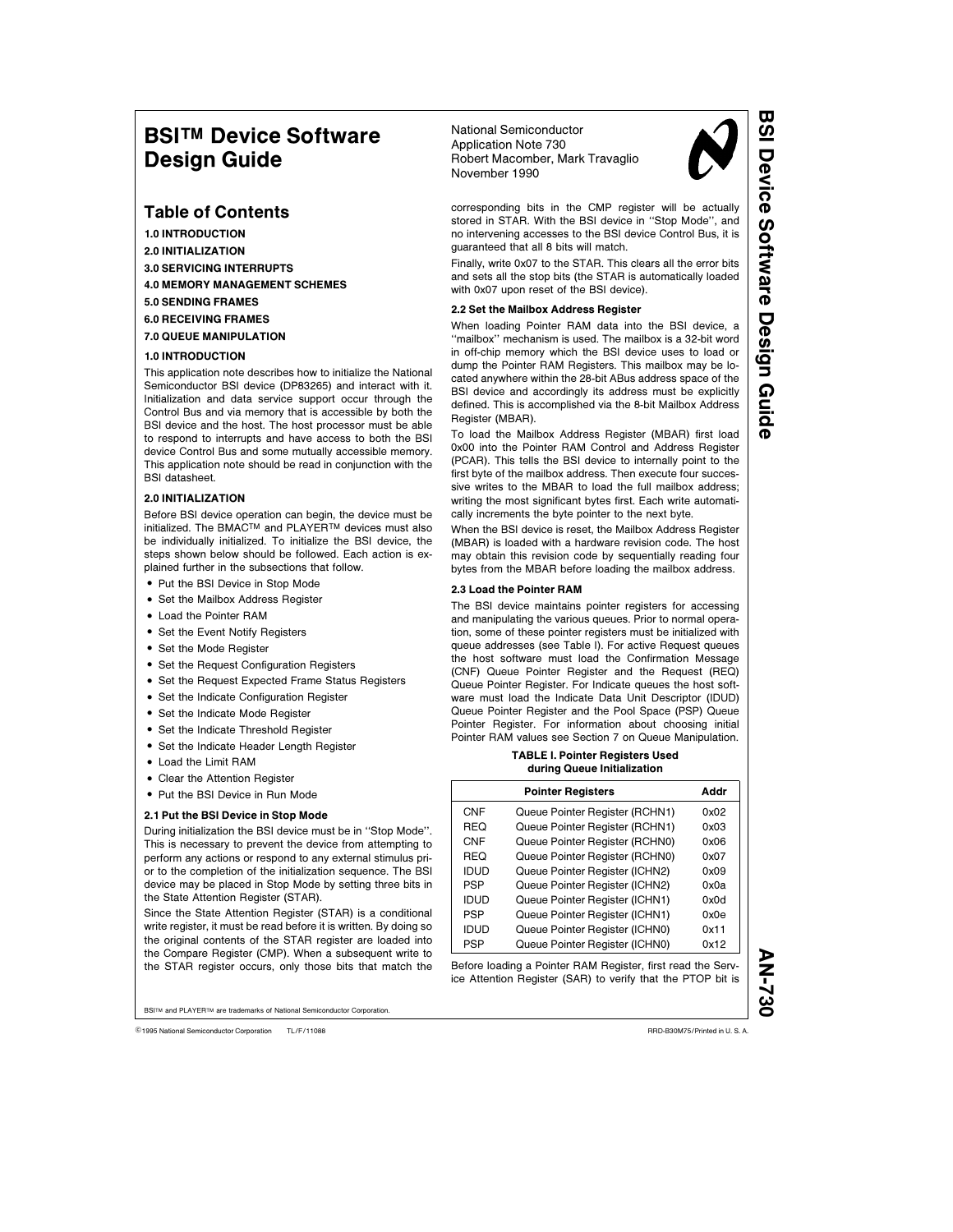# **BSI™ Device Software** Design Guide

# Table of Contents

1.0 INTRODUCTION 2.0 INITIALIZATION

- 3.0 SERVICING INTERRUPTS 4.0 MEMORY MANAGEMENT SCHEMES
- 5.0 SENDING FRAMES
- 6.0 RECEIVING FRAMES
- 

7.0 QUEUE MANIPULATION

# 1.0 INTRODUCTION

This application note describes how to initialize the National Semiconductor BSI device (DP83265) and interact with it. Initialization and data service support occur through the Control Bus and via memory that is accessible by both the BSI device and the host. The host processor must be able to respond to interrupts and have access to both the BSI device Control Bus and some mutually accessible memory. This application note should be read in conjunction with the BSI datasheet.

# 2.0 INITIALIZATION

Before BSI device operation can begin, the device must be initialized. The BMACTM and PLAYERTM devices must also be individually initialized. To initialize the BSI device, the steps shown below should be followed. Each action is explained further in the subsections that follow.

- Put the BSI Device in Stop Mode
- Set the Mailbox Address Register
- Load the Pointer RAM
- Set the Event Notify Registers
- Set the Mode Register
- Set the Request Configuration Registers
- Set the Request Expected Frame Status Registers
- Set the Indicate Configuration Register
- Set the Indicate Mode Register
- Set the Indicate Threshold Register
- Set the Indicate Header Length Register
- Load the Limit RAM
- Clear the Attention Register
- Put the BSI Device in Run Mode

### 2.1 Put the BSI Device in Stop Mode

During initialization the BSI device must be in ''Stop Mode''. This is necessary to prevent the device from attempting to perform any actions or respond to any external stimulus prior to the completion of the initialization sequence. The BSI device may be placed in Stop Mode by setting three bits in the State Attention Register (STAR).

Since the State Attention Register (STAR) is a conditional write register, it must be read before it is written. By doing so the original contents of the STAR register are loaded into the Compare Register (CMP). When a subsequent write to the STAR register occurs, only those bits that match the

**BSI™** and PLAYER™ are trademarks of National Semiconductor Corporation

C1995 National Semiconductor Corporation TL/F/11088 **Canadia Semiconductor Corporation RRD-B30M75/Printed in U. S. A.** 

National Semiconductor Application Note 730 Robert Macomber, Mark Travaglio November 1990



corresponding bits in the CMP register will be actually stored in STAR. With the BSI device in ''Stop Mode'', and no intervening accesses to the BSI device Control Bus, it is guaranteed that all 8 bits will match.

Finally, write 0x07 to the STAR. This clears all the error bits and sets all the stop bits (the STAR is automatically loaded with 0x07 upon reset of the BSI device).

# 2.2 Set the Mailbox Address Register

When loading Pointer RAM data into the BSI device, a ''mailbox'' mechanism is used. The mailbox is a 32-bit word in off-chip memory which the BSI device uses to load or dump the Pointer RAM Registers. This mailbox may be located anywhere within the 28-bit ABus address space of the BSI device and accordingly its address must be explicitly defined. This is accomplished via the 8-bit Mailbox Address Register (MBAR).

To load the Mailbox Address Register (MBAR) first load 0x00 into the Pointer RAM Control and Address Register (PCAR). This tells the BSI device to internally point to the first byte of the mailbox address. Then execute four successive writes to the MBAR to load the full mailbox address; writing the most significant bytes first. Each write automatically increments the byte pointer to the next byte.

When the BSI device is reset, the Mailbox Address Register (MBAR) is loaded with a hardware revision code. The host may obtain this revision code by sequentially reading four bytes from the MBAR before loading the mailbox address.

# 2.3 Load the Pointer RAM

The BSI device maintains pointer registers for accessing and manipulating the various queues. Prior to normal operation, some of these pointer registers must be initialized with queue addresses (see Table I). For active Request queues the host software must load the Confirmation Message (CNF) Queue Pointer Register and the Request (REQ) Queue Pointer Register. For Indicate queues the host software must load the Indicate Data Unit Descriptor (IDUD) Queue Pointer Register and the Pool Space (PSP) Queue Pointer Register. For information about choosing initial Pointer RAM values see Section 7 on Queue Manipulation.

#### TABLE I. Pointer Registers Used during Queue Initialization

|             | <b>Pointer Registers</b>       | Addr |
|-------------|--------------------------------|------|
| CNF         | Queue Pointer Register (RCHN1) | 0x02 |
| REQ         | Queue Pointer Register (RCHN1) | 0x03 |
| <b>CNF</b>  | Queue Pointer Register (RCHN0) | 0x06 |
| REQ         | Queue Pointer Register (RCHN0) | 0x07 |
| <b>IDUD</b> | Queue Pointer Register (ICHN2) | 0x09 |
| <b>PSP</b>  | Queue Pointer Register (ICHN2) | 0x0a |
| <b>IDUD</b> | Queue Pointer Register (ICHN1) | 0x0d |
| <b>PSP</b>  | Queue Pointer Register (ICHN1) | 0x0e |
| <b>IDUD</b> | Queue Pointer Register (ICHN0) | 0x11 |
| PSP         | Queue Pointer Register (ICHN0) | 0x12 |

Before loading a Pointer RAM Register, first read the Service Attention Register (SAR) to verify that the PTOP bit is **AN-73** 

BSI Device SoftwareDesign Guide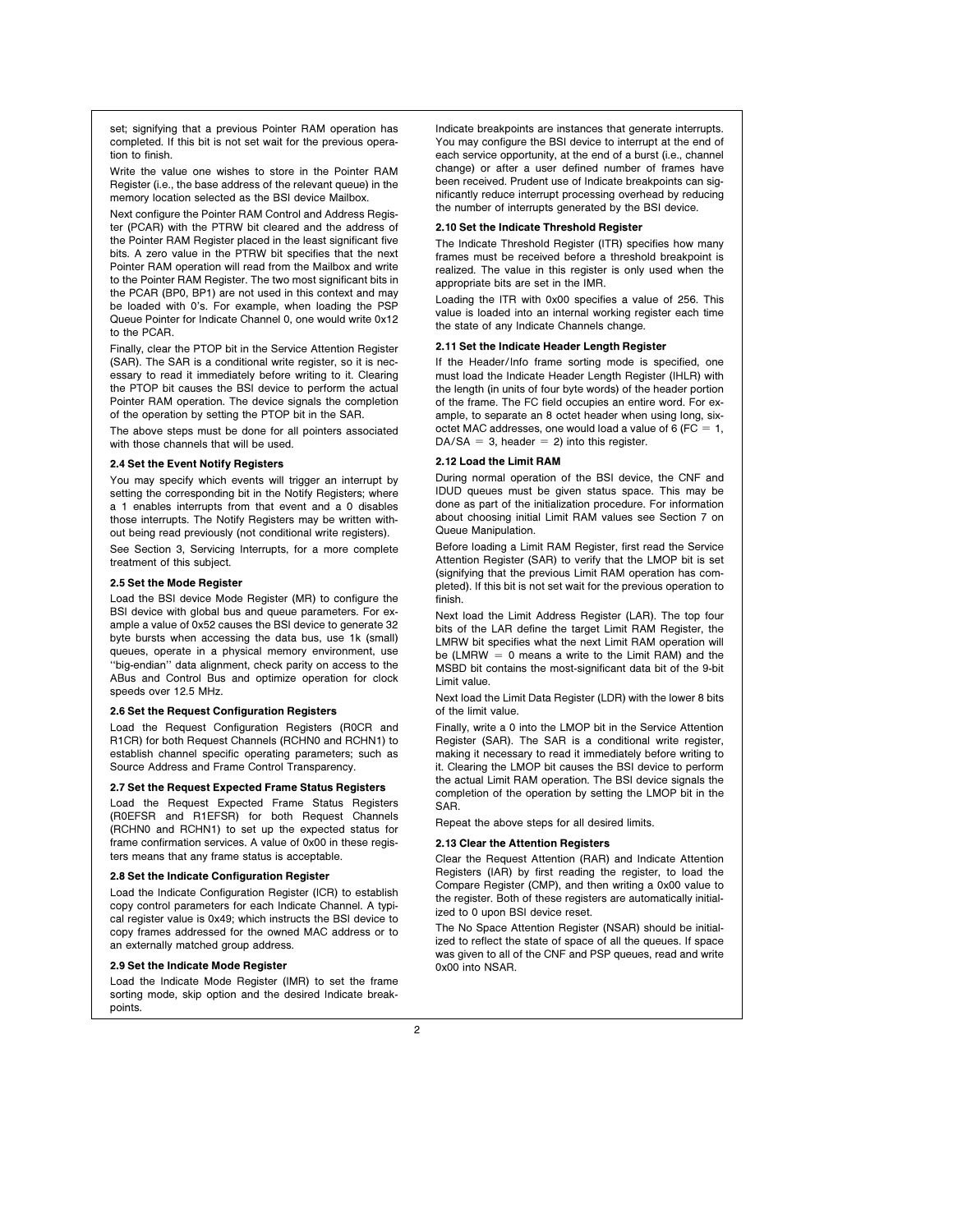set; signifying that a previous Pointer RAM operation has completed. If this bit is not set wait for the previous operation to finish.

Write the value one wishes to store in the Pointer RAM Register (i.e., the base address of the relevant queue) in the memory location selected as the BSI device Mailbox.

Next configure the Pointer RAM Control and Address Register (PCAR) with the PTRW bit cleared and the address of the Pointer RAM Register placed in the least significant five bits. A zero value in the PTRW bit specifies that the next Pointer RAM operation will read from the Mailbox and write to the Pointer RAM Register. The two most significant bits in the PCAR (BP0, BP1) are not used in this context and may be loaded with 0's. For example, when loading the PSP Queue Pointer for Indicate Channel 0, one would write 0x12 to the PCAR.

Finally, clear the PTOP bit in the Service Attention Register (SAR). The SAR is a conditional write register, so it is necessary to read it immediately before writing to it. Clearing the PTOP bit causes the BSI device to perform the actual Pointer RAM operation. The device signals the completion of the operation by setting the PTOP bit in the SAR.

The above steps must be done for all pointers associated with those channels that will be used.

### 2.4 Set the Event Notify Registers

You may specify which events will trigger an interrupt by setting the corresponding bit in the Notify Registers; where a 1 enables interrupts from that event and a 0 disables those interrupts. The Notify Registers may be written without being read previously (not conditional write registers).

See Section 3, Servicing Interrupts, for a more complete treatment of this subject.

### 2.5 Set the Mode Register

Load the BSI device Mode Register (MR) to configure the BSI device with global bus and queue parameters. For example a value of 0x52 causes the BSI device to generate 32 byte bursts when accessing the data bus, use 1k (small) queues, operate in a physical memory environment, use ''big-endian'' data alignment, check parity on access to the ABus and Control Bus and optimize operation for clock speeds over 12.5 MHz.

# 2.6 Set the Request Configuration Registers

Load the Request Configuration Registers (R0CR and R1CR) for both Request Channels (RCHN0 and RCHN1) to establish channel specific operating parameters; such as Source Address and Frame Control Transparency.

### 2.7 Set the Request Expected Frame Status Registers

Load the Request Expected Frame Status Registers (R0EFSR and R1EFSR) for both Request Channels (RCHN0 and RCHN1) to set up the expected status for frame confirmation services. A value of 0x00 in these registers means that any frame status is acceptable.

### 2.8 Set the Indicate Configuration Register

Load the Indicate Configuration Register (ICR) to establish copy control parameters for each Indicate Channel. A typical register value is 0x49; which instructs the BSI device to copy frames addressed for the owned MAC address or to an externally matched group address.

# 2.9 Set the Indicate Mode Register

Load the Indicate Mode Register (IMR) to set the frame sorting mode, skip option and the desired Indicate breakpoints.

Indicate breakpoints are instances that generate interrupts. You may configure the BSI device to interrupt at the end of each service opportunity, at the end of a burst (i.e., channel change) or after a user defined number of frames have been received. Prudent use of Indicate breakpoints can significantly reduce interrupt processing overhead by reducing the number of interrupts generated by the BSI device.

### 2.10 Set the Indicate Threshold Register

The Indicate Threshold Register (ITR) specifies how many frames must be received before a threshold breakpoint is realized. The value in this register is only used when the appropriate bits are set in the IMR.

Loading the ITR with 0x00 specifies a value of 256. This value is loaded into an internal working register each time the state of any Indicate Channels change.

# 2.11 Set the Indicate Header Length Register

If the Header/Info frame sorting mode is specified, one must load the Indicate Header Length Register (IHLR) with the length (in units of four byte words) of the header portion of the frame. The FC field occupies an entire word. For example, to separate an 8 octet header when using long, sixoctet MAC addresses, one would load a value of 6 ( $FC = 1$ ,  $DA/SA = 3$ , header = 2) into this register.

# 2.12 Load the Limit RAM

During normal operation of the BSI device, the CNF and IDUD queues must be given status space. This may be done as part of the initialization procedure. For information about choosing initial Limit RAM values see Section 7 on Queue Manipulation.

Before loading a Limit RAM Register, first read the Service Attention Register (SAR) to verify that the LMOP bit is set (signifying that the previous Limit RAM operation has completed). If this bit is not set wait for the previous operation to finish.

Next load the Limit Address Register (LAR). The top four bits of the LAR define the target Limit RAM Register, the LMRW bit specifies what the next Limit RAM operation will be (LMRW  $= 0$  means a write to the Limit RAM) and the MSBD bit contains the most-significant data bit of the 9-bit Limit value.

Next load the Limit Data Register (LDR) with the lower 8 bits of the limit value.

Finally, write a 0 into the LMOP bit in the Service Attention Register (SAR). The SAR is a conditional write register, making it necessary to read it immediately before writing to it. Clearing the LMOP bit causes the BSI device to perform the actual Limit RAM operation. The BSI device signals the completion of the operation by setting the LMOP bit in the SAR.

Repeat the above steps for all desired limits.

# 2.13 Clear the Attention Registers

Clear the Request Attention (RAR) and Indicate Attention Registers (IAR) by first reading the register, to load the Compare Register (CMP), and then writing a 0x00 value to the register. Both of these registers are automatically initialized to 0 upon BSI device reset.

The No Space Attention Register (NSAR) should be initialized to reflect the state of space of all the queues. If space was given to all of the CNF and PSP queues, read and write 0x00 into NSAR.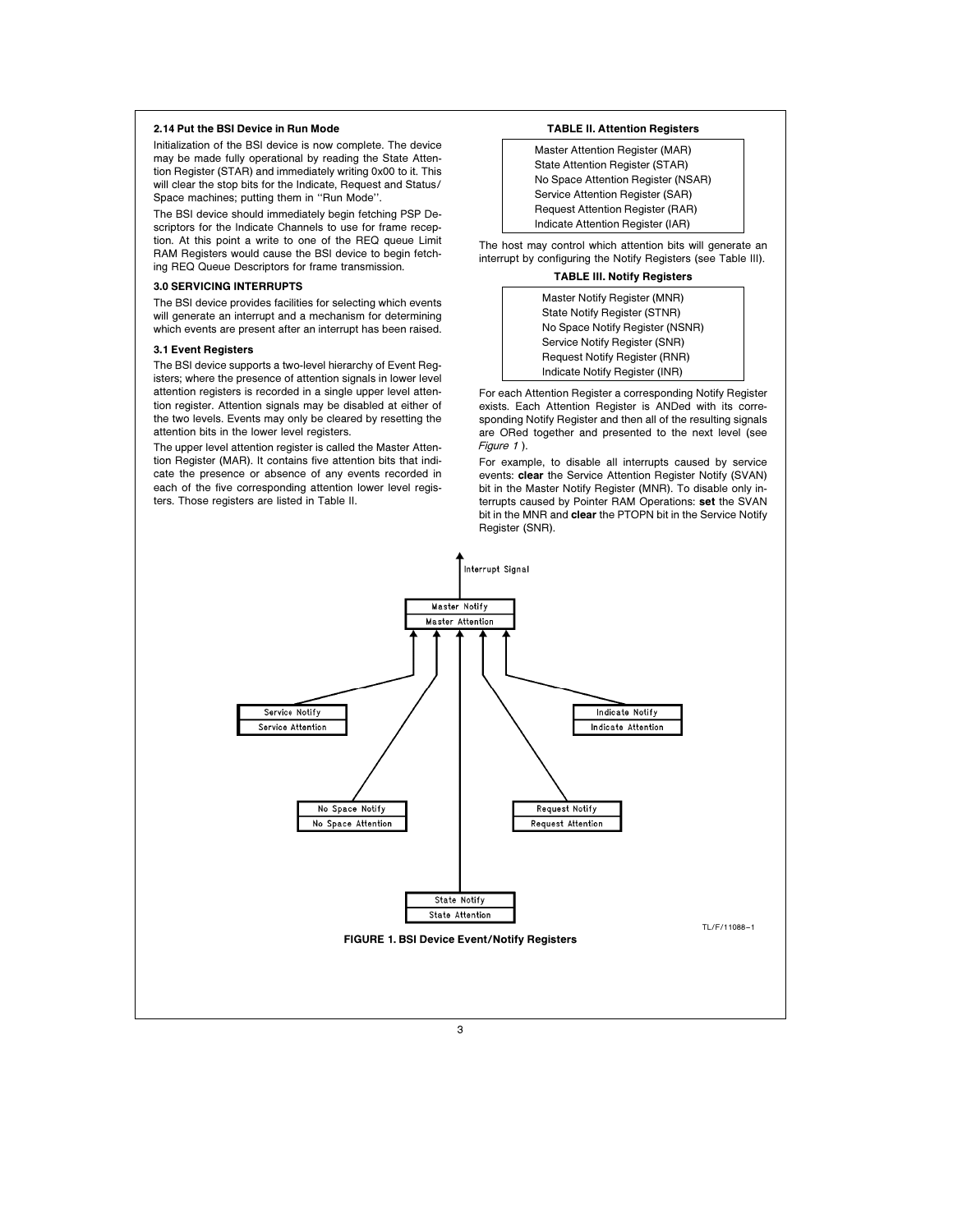# 2.14 Put the BSI Device in Run Mode

Initialization of the BSI device is now complete. The device may be made fully operational by reading the State Attention Register (STAR) and immediately writing 0x00 to it. This will clear the stop bits for the Indicate, Request and Status/ Space machines; putting them in ''Run Mode''.

The BSI device should immediately begin fetching PSP Descriptors for the Indicate Channels to use for frame reception. At this point a write to one of the REQ queue Limit RAM Registers would cause the BSI device to begin fetching REQ Queue Descriptors for frame transmission.

#### 3.0 SERVICING INTERRUPTS

The BSI device provides facilities for selecting which events will generate an interrupt and a mechanism for determining which events are present after an interrupt has been raised.

# 3.1 Event Registers

The BSI device supports a two-level hierarchy of Event Registers; where the presence of attention signals in lower level attention registers is recorded in a single upper level attention register. Attention signals may be disabled at either of the two levels. Events may only be cleared by resetting the attention bits in the lower level registers.

The upper level attention register is called the Master Attention Register (MAR). It contains five attention bits that indicate the presence or absence of any events recorded in each of the five corresponding attention lower level registers. Those registers are listed in Table II.

## TABLE II. Attention Registers

Master Attention Register (MAR) State Attention Register (STAR) No Space Attention Register (NSAR) Service Attention Register (SAR) Request Attention Register (RAR) Indicate Attention Register (IAR)

The host may control which attention bits will generate an interrupt by configuring the Notify Registers (see Table III).

# TABLE III. Notify Registers

| Master Notify Register (MNR)         |  |  |
|--------------------------------------|--|--|
| State Notify Register (STNR)         |  |  |
| No Space Notify Register (NSNR)      |  |  |
| Service Notify Register (SNR)        |  |  |
| <b>Request Notify Register (RNR)</b> |  |  |
| Indicate Notify Register (INR)       |  |  |

For each Attention Register a corresponding Notify Register exists. Each Attention Register is ANDed with its corresponding Notify Register and then all of the resulting signals are ORed together and presented to the next level (see Figure 1).

For example, to disable all interrupts caused by service events: clear the Service Attention Register Notify (SVAN) bit in the Master Notify Register (MNR). To disable only interrupts caused by Pointer RAM Operations: set the SVAN bit in the MNR and clear the PTOPN bit in the Service Notify Register (SNR).

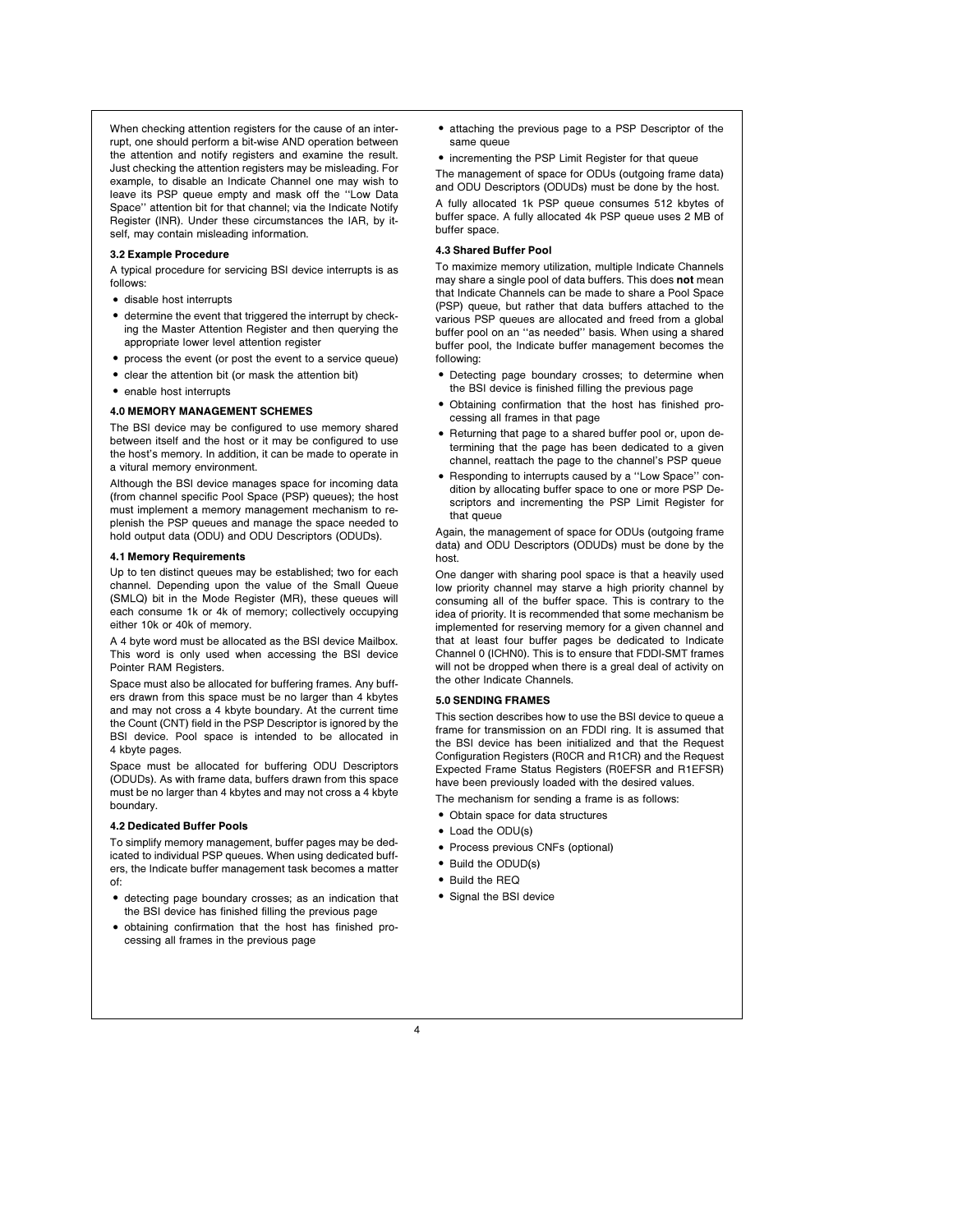When checking attention registers for the cause of an interrupt, one should perform a bit-wise AND operation between the attention and notify registers and examine the result. Just checking the attention registers may be misleading. For example, to disable an Indicate Channel one may wish to leave its PSP queue empty and mask off the ''Low Data Space'' attention bit for that channel; via the Indicate Notify Register (INR). Under these circumstances the IAR, by itself, may contain misleading information.

# 3.2 Example Procedure

A typical procedure for servicing BSI device interrupts is as follows:

- disable host interrupts
- determine the event that triggered the interrupt by checking the Master Attention Register and then querying the appropriate lower level attention register
- process the event (or post the event to a service queue)
- clear the attention bit (or mask the attention bit)
- enable host interrupts

### 4.0 MEMORY MANAGEMENT SCHEMES

The BSI device may be configured to use memory shared between itself and the host or it may be configured to use the host's memory. In addition, it can be made to operate in a vitural memory environment.

Although the BSI device manages space for incoming data (from channel specific Pool Space (PSP) queues); the host must implement a memory management mechanism to replenish the PSP queues and manage the space needed to hold output data (ODU) and ODU Descriptors (ODUDs).

### 4.1 Memory Requirements

Up to ten distinct queues may be established; two for each channel. Depending upon the value of the Small Queue (SMLQ) bit in the Mode Register (MR), these queues will each consume 1k or 4k of memory; collectively occupying either 10k or 40k of memory.

A 4 byte word must be allocated as the BSI device Mailbox. This word is only used when accessing the BSI device Pointer RAM Registers.

Space must also be allocated for buffering frames. Any buffers drawn from this space must be no larger than 4 kbytes and may not cross a 4 kbyte boundary. At the current time the Count (CNT) field in the PSP Descriptor is ignored by the BSI device. Pool space is intended to be allocated in 4 kbyte pages.

Space must be allocated for buffering ODU Descriptors (ODUDs). As with frame data, buffers drawn from this space must be no larger than 4 kbytes and may not cross a 4 kbyte boundary.

### 4.2 Dedicated Buffer Pools

To simplify memory management, buffer pages may be dedicated to individual PSP queues. When using dedicated buffers, the Indicate buffer management task becomes a matter of:

- detecting page boundary crosses; as an indication that the BSI device has finished filling the previous page
- obtaining confirmation that the host has finished processing all frames in the previous page
- attaching the previous page to a PSP Descriptor of the same queue
- incrementing the PSP Limit Register for that queue The management of space for ODUs (outgoing frame data)

and ODU Descriptors (ODUDs) must be done by the host. A fully allocated 1k PSP queue consumes 512 kbytes of buffer space. A fully allocated 4k PSP queue uses 2 MB of buffer space.

### 4.3 Shared Buffer Pool

To maximize memory utilization, multiple Indicate Channels may share a single pool of data buffers. This does not mean that Indicate Channels can be made to share a Pool Space (PSP) queue, but rather that data buffers attached to the various PSP queues are allocated and freed from a global buffer pool on an ''as needed'' basis. When using a shared buffer pool, the Indicate buffer management becomes the following:

- . Detecting page boundary crosses; to determine when the BSI device is finished filling the previous page
- Obtaining confirmation that the host has finished processing all frames in that page
- Returning that page to a shared buffer pool or, upon determining that the page has been dedicated to a given channel, reattach the page to the channel's PSP queue
- Responding to interrupts caused by a "Low Space" condition by allocating buffer space to one or more PSP Descriptors and incrementing the PSP Limit Register for that queue

Again, the management of space for ODUs (outgoing frame data) and ODU Descriptors (ODUDs) must be done by the host.

One danger with sharing pool space is that a heavily used low priority channel may starve a high priority channel by consuming all of the buffer space. This is contrary to the idea of priority. It is recommended that some mechanism be implemented for reserving memory for a given channel and that at least four buffer pages be dedicated to Indicate Channel 0 (ICHN0). This is to ensure that FDDI-SMT frames will not be dropped when there is a greal deal of activity on the other Indicate Channels.

#### 5.0 SENDING FRAMES

This section describes how to use the BSI device to queue a frame for transmission on an FDDI ring. It is assumed that the BSI device has been initialized and that the Request Configuration Registers (R0CR and R1CR) and the Request Expected Frame Status Registers (R0EFSR and R1EFSR) have been previously loaded with the desired values.

The mechanism for sending a frame is as follows:

- Obtain space for data structures
- Load the ODU(s)
- Process previous CNFs (optional)
- Build the ODUD(s)
- Build the RFO
- Signal the BSI device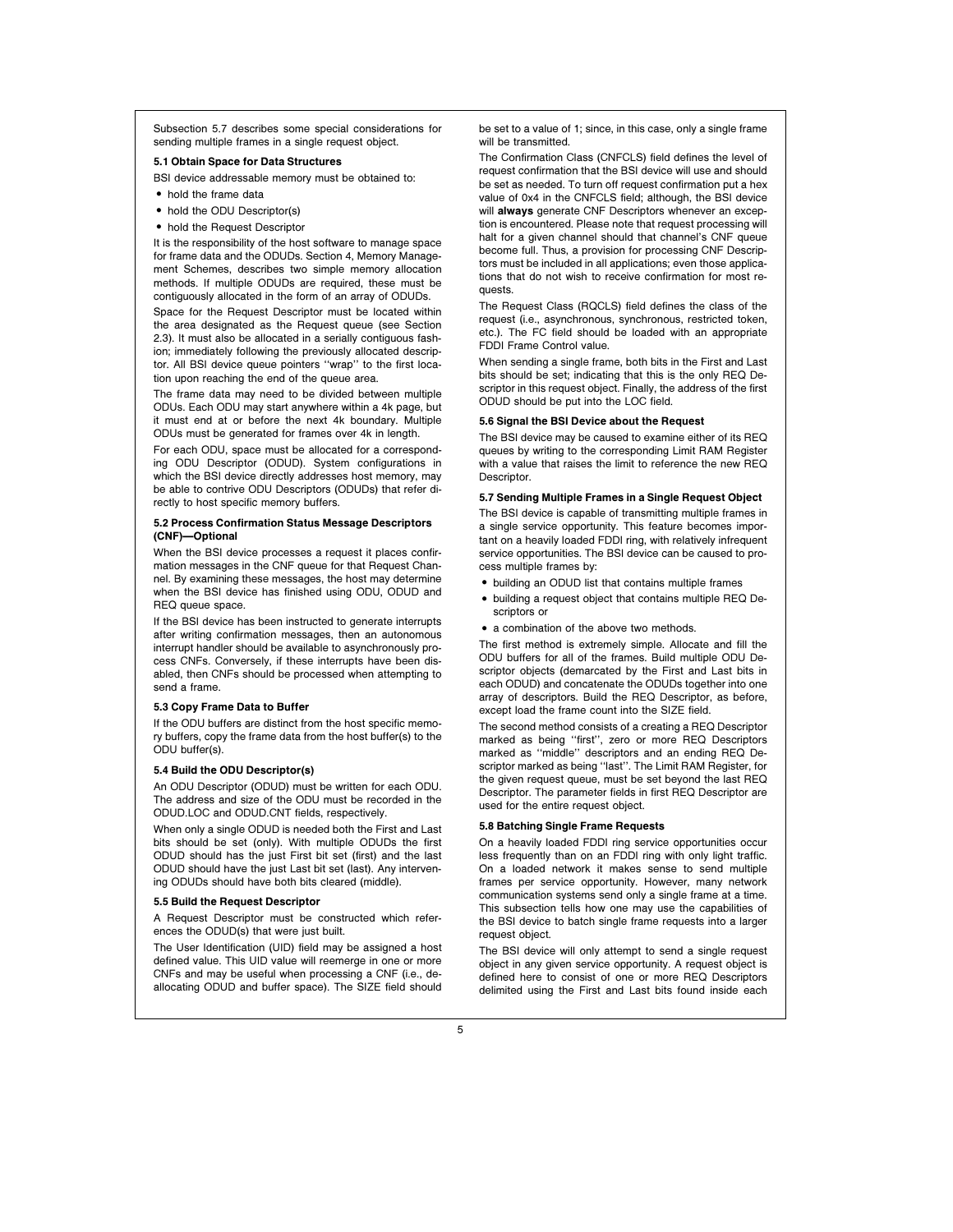Subsection 5.7 describes some special considerations for sending multiple frames in a single request object.

# 5.1 Obtain Space for Data Structures

BSI device addressable memory must be obtained to:

- hold the frame data
- hold the ODU Descriptor(s)
- hold the Request Descriptor

It is the responsibility of the host software to manage space for frame data and the ODUDs. Section 4, Memory Management Schemes, describes two simple memory allocation methods. If multiple ODUDs are required, these must be contiguously allocated in the form of an array of ODUDs.

Space for the Request Descriptor must be located within the area designated as the Request queue (see Section 2.3). It must also be allocated in a serially contiguous fashion; immediately following the previously allocated descriptor. All BSI device queue pointers ''wrap'' to the first location upon reaching the end of the queue area.

The frame data may need to be divided between multiple ODUs. Each ODU may start anywhere within a 4k page, but it must end at or before the next 4k boundary. Multiple ODUs must be generated for frames over 4k in length.

For each ODU, space must be allocated for a corresponding ODU Descriptor (ODUD). System configurations in which the BSI device directly addresses host memory, may be able to contrive ODU Descriptors (ODUDs) that refer directly to host specific memory buffers.

### 5.2 Process Confirmation Status Message Descriptors (CNF)-Optional

When the BSI device processes a request it places confirmation messages in the CNF queue for that Request Channel. By examining these messages, the host may determine when the BSI device has finished using ODU, ODUD and REQ queue space.

If the BSI device has been instructed to generate interrupts after writing confirmation messages, then an autonomous interrupt handler should be available to asynchronously process CNFs. Conversely, if these interrupts have been disabled, then CNFs should be processed when attempting to send a frame.

# 5.3 Copy Frame Data to Buffer

If the ODU buffers are distinct from the host specific memory buffers, copy the frame data from the host buffer(s) to the ODU buffer(s).

# 5.4 Build the ODU Descriptor(s)

An ODU Descriptor (ODUD) must be written for each ODU. The address and size of the ODU must be recorded in the ODUD.LOC and ODUD.CNT fields, respectively.

When only a single ODUD is needed both the First and Last bits should be set (only). With multiple ODUDs the first ODUD should has the just First bit set (first) and the last ODUD should have the just Last bit set (last). Any intervening ODUDs should have both bits cleared (middle).

#### 5.5 Build the Request Descriptor

A Request Descriptor must be constructed which references the ODUD(s) that were just built.

The User Identification (UID) field may be assigned a host defined value. This UID value will reemerge in one or more CNFs and may be useful when processing a CNF (i.e., deallocating ODUD and buffer space). The SIZE field should be set to a value of 1; since, in this case, only a single frame will be transmitted.

The Confirmation Class (CNFCLS) field defines the level of request confirmation that the BSI device will use and should be set as needed. To turn off request confirmation put a hex value of 0x4 in the CNFCLS field; although, the BSI device will **always** generate CNF Descriptors whenever an exception is encountered. Please note that request processing will halt for a given channel should that channel's CNF queue become full. Thus, a provision for processing CNF Descriptors must be included in all applications; even those applications that do not wish to receive confirmation for most requests.

The Request Class (RQCLS) field defines the class of the request (i.e., asynchronous, synchronous, restricted token, etc.). The FC field should be loaded with an appropriate FDDI Frame Control value.

When sending a single frame, both bits in the First and Last bits should be set; indicating that this is the only REQ Descriptor in this request object. Finally, the address of the first ODUD should be put into the LOC field.

### 5.6 Signal the BSI Device about the Request

The BSI device may be caused to examine either of its REQ queues by writing to the corresponding Limit RAM Register with a value that raises the limit to reference the new REQ Descriptor

# 5.7 Sending Multiple Frames in a Single Request Object

The BSI device is capable of transmitting multiple frames in a single service opportunity. This feature becomes important on a heavily loaded FDDI ring, with relatively infrequent service opportunities. The BSI device can be caused to process multiple frames by:

- building an ODUD list that contains multiple frames
- $\bullet$  building a request object that contains multiple REQ Descriptors or
- a combination of the above two methods.

The first method is extremely simple. Allocate and fill the ODU buffers for all of the frames. Build multiple ODU Descriptor objects (demarcated by the First and Last bits in each ODUD) and concatenate the ODUDs together into one array of descriptors. Build the REQ Descriptor, as before, except load the frame count into the SIZE field.

The second method consists of a creating a REQ Descriptor marked as being ''first'', zero or more REQ Descriptors marked as "middle" descriptors and an ending REQ Descriptor marked as being ''last''. The Limit RAM Register, for the given request queue, must be set beyond the last REQ Descriptor. The parameter fields in first REQ Descriptor are used for the entire request object.

# 5.8 Batching Single Frame Requests

On a heavily loaded FDDI ring service opportunities occur less frequently than on an FDDI ring with only light traffic. On a loaded network it makes sense to send multiple frames per service opportunity. However, many network communication systems send only a single frame at a time. This subsection tells how one may use the capabilities of the BSI device to batch single frame requests into a larger request object.

The BSI device will only attempt to send a single request object in any given service opportunity. A request object is defined here to consist of one or more REQ Descriptors delimited using the First and Last bits found inside each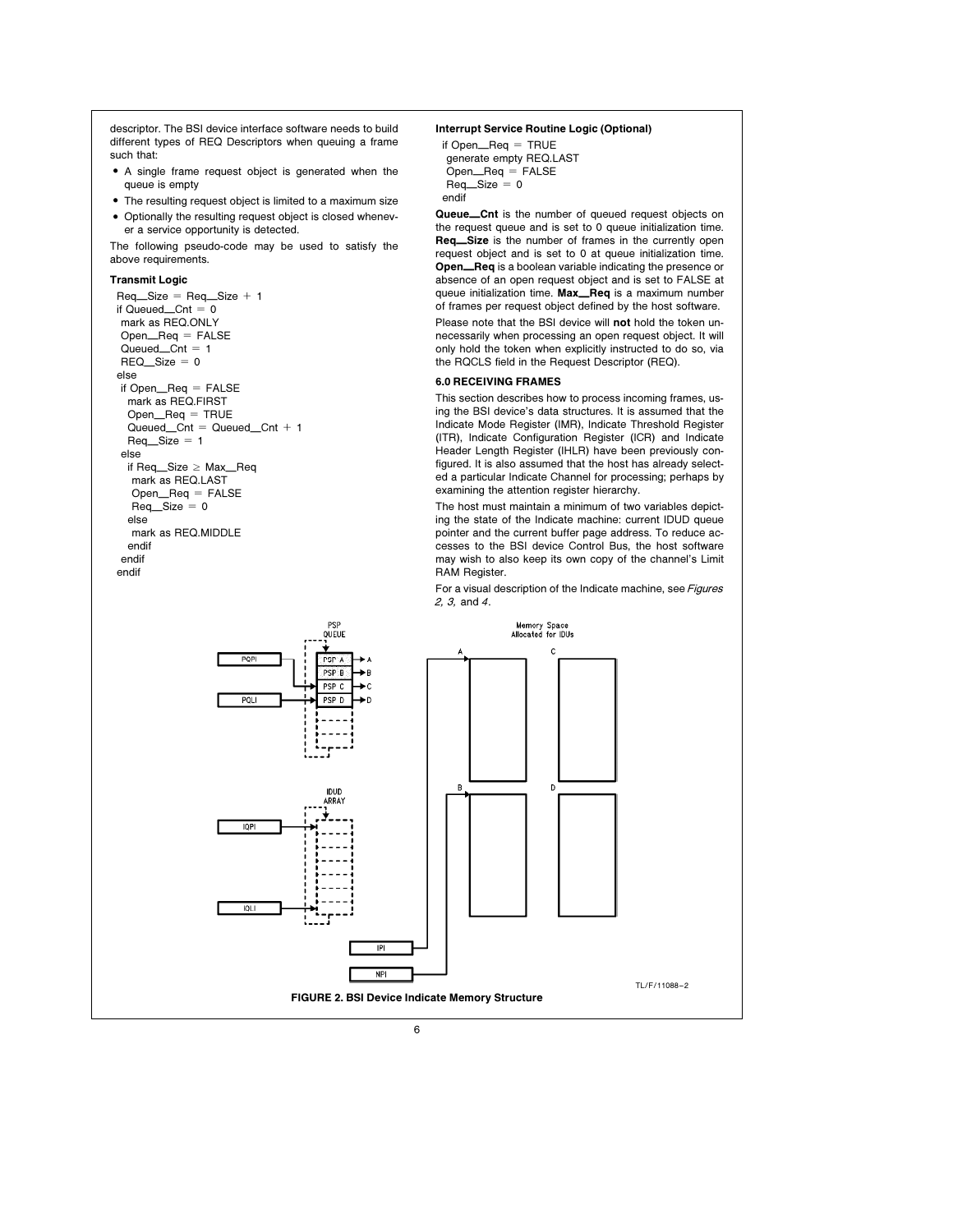descriptor. The BSI device interface software needs to build different types of REQ Descriptors when queuing a frame such that:

- A single frame request object is generated when the queue is empty
- The resulting request object is limited to a maximum size • Optionally the resulting request object is closed whenever a service opportunity is detected.

The following pseudo-code may be used to satisfy the above requirements.

# Transmit Logic

endif

 $Req_Size = Req_Size + 1$ if Queued $_$ Cnt = 0 mark as REQ.ONLY  $Open_{\text{Eq}} = FALSE$  $Quued_Cnt = 1$  $REQ$ *Size* = 0 else if Open\_Req = FALSE mark as REQ.FIRST  $Open_{\text{Req}} = \text{TRUE}$  $Quued_Cnt = Queued_Cnt + 1$  $Req$ <sup>O</sup>Size = 1 else if Req\_Size ≥ Max\_Req mark as REQ.LAST  $Open_{\text{Eq}} = FALSE$  $Req$ <sub> $\_\$ Sizeize = 0</sub> else mark as REQ.MIDDLE endif endif

# Interrupt Service Routine Logic (Optional)

```
if Open\_\{Reg} = \text{TRUE}
generate empty REQ.LAST
\text{Open}\_\text{Req} = \text{FALSE}\text{Req\_Size} = 0endif
```
Queue\_Cnt is the number of queued request objects on the request queue and is set to 0 queue initialization time. Req\_Size is the number of frames in the currently open request object and is set to 0 at queue initialization time. Open\_Req is a boolean variable indicating the presence or absence of an open request object and is set to FALSE at queue initialization time. Max\_Req is a maximum number of frames per request object defined by the host software. Please note that the BSI device will not hold the token unnecessarily when processing an open request object. It will only hold the token when explicitly instructed to do so, via the RQCLS field in the Request Descriptor (REQ).

# 6.0 RECEIVING FRAMES

This section describes how to process incoming frames, using the BSI device's data structures. It is assumed that the Indicate Mode Register (IMR), Indicate Threshold Register (ITR), Indicate Configuration Register (ICR) and Indicate Header Length Register (IHLR) have been previously configured. It is also assumed that the host has already selected a particular Indicate Channel for processing; perhaps by examining the attention register hierarchy.

The host must maintain a minimum of two variables depicting the state of the Indicate machine: current IDUD queue pointer and the current buffer page address. To reduce accesses to the BSI device Control Bus, the host software may wish to also keep its own copy of the channel's Limit RAM Register.

For a visual description of the Indicate machine, see Figures 2, 3, and <sup>4</sup>.

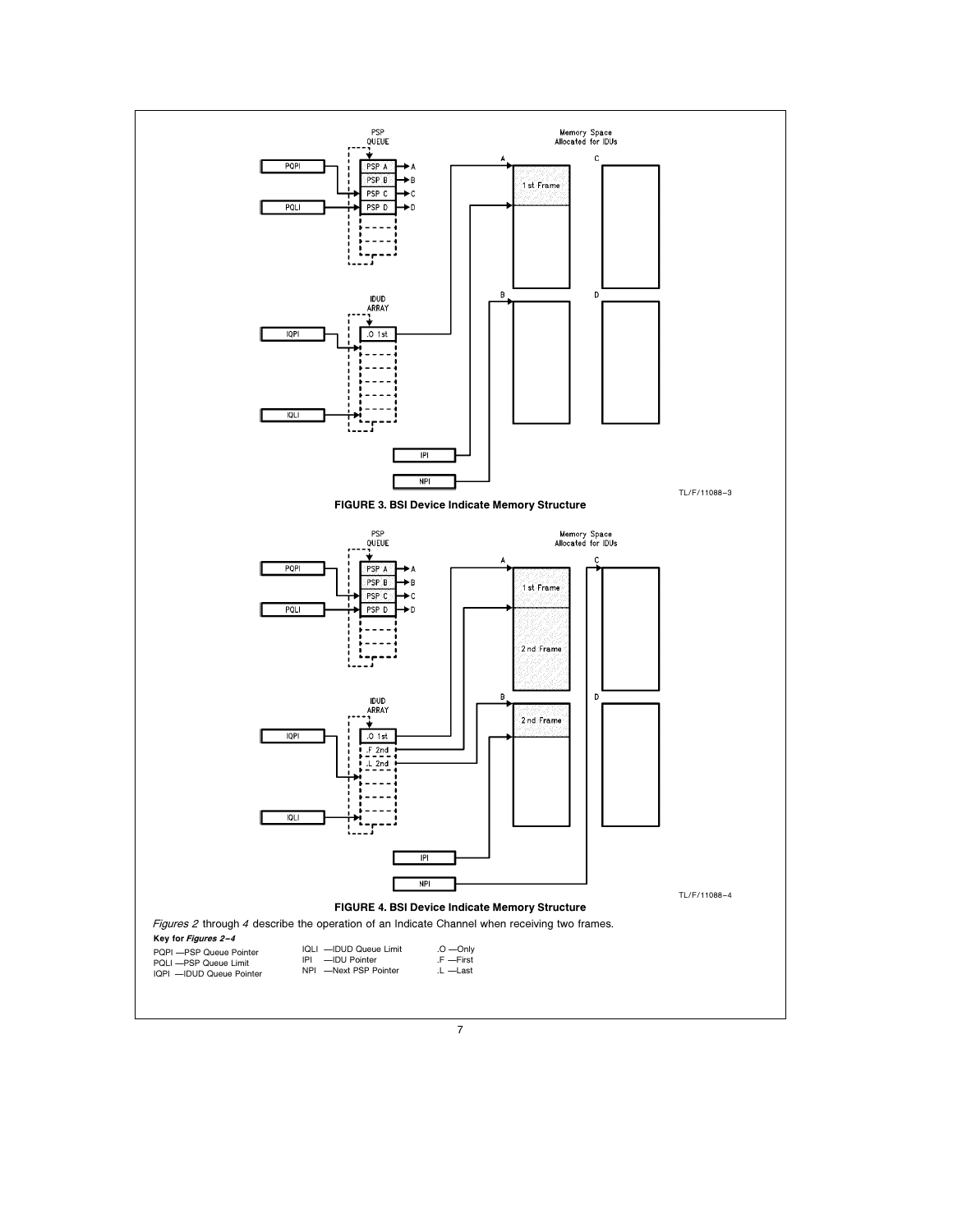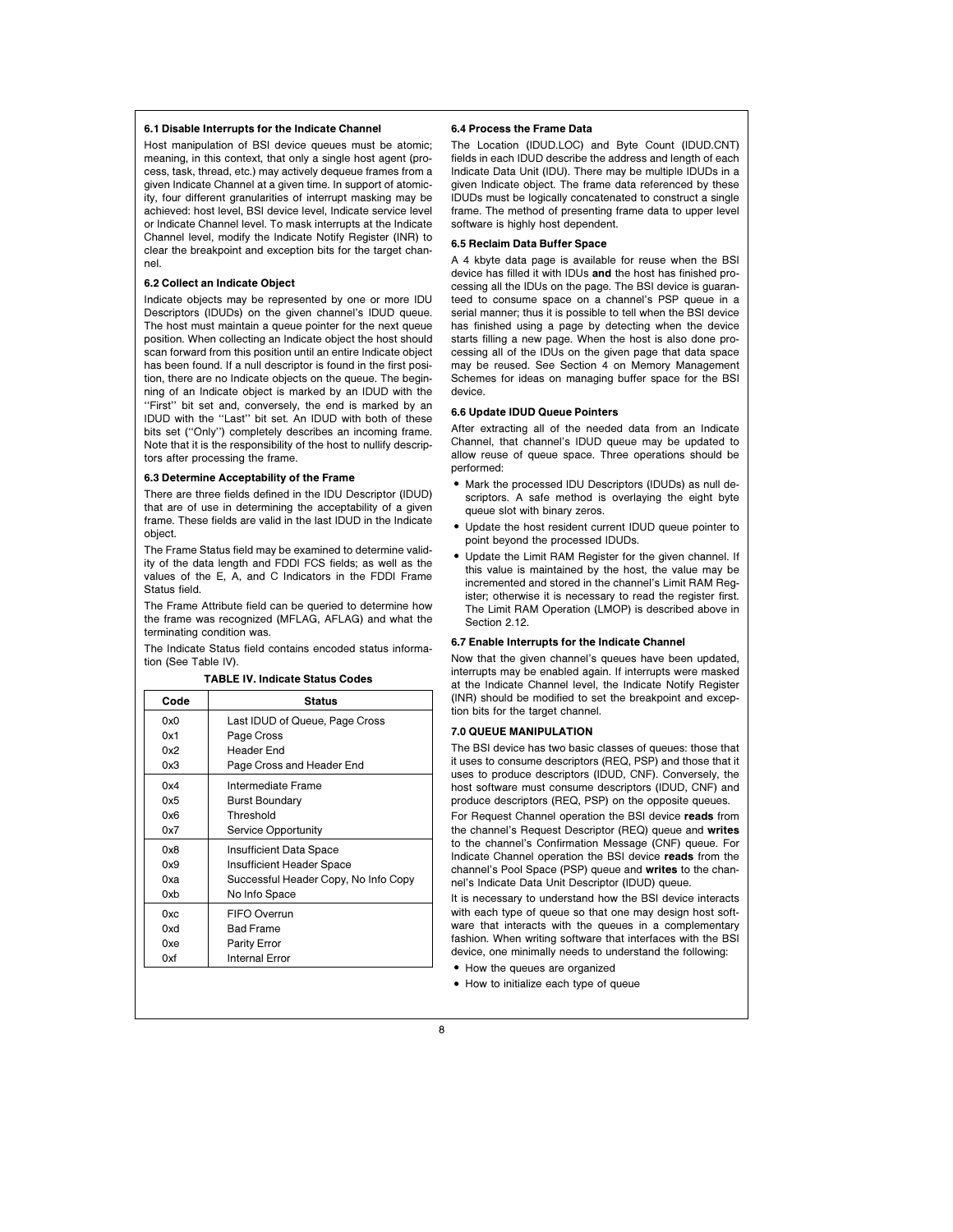# 6.1 Disable Interrupts for the Indicate Channel

Host manipulation of BSI device queues must be atomic; meaning, in this context, that only a single host agent (process, task, thread, etc.) may actively dequeue frames from a given Indicate Channel at a given time. In support of atomicity, four different granularities of interrupt masking may be achieved: host level, BSI device level, Indicate service level or Indicate Channel level. To mask interrupts at the Indicate Channel level, modify the Indicate Notify Register (INR) to clear the breakpoint and exception bits for the target channel.

## 6.2 Collect an Indicate Object

Indicate objects may be represented by one or more IDU Descriptors (IDUDs) on the given channel's IDUD queue. The host must maintain a queue pointer for the next queue position. When collecting an Indicate object the host should scan forward from this position until an entire Indicate object has been found. If a null descriptor is found in the first position, there are no Indicate objects on the queue. The beginning of an Indicate object is marked by an IDUD with the "First" bit set and, conversely, the end is marked by an IDUD with the ''Last'' bit set. An IDUD with both of these bits set (''Only'') completely describes an incoming frame. Note that it is the responsibility of the host to nullify descriptors after processing the frame.

# 6.3 Determine Acceptability of the Frame

There are three fields defined in the IDU Descriptor (IDUD) that are of use in determining the acceptability of a given frame. These fields are valid in the last IDUD in the Indicate object.

The Frame Status field may be examined to determine validity of the data length and FDDI FCS fields; as well as the values of the E, A, and C Indicators in the FDDI Frame Status field.

The Frame Attribute field can be queried to determine how the frame was recognized (MFLAG, AFLAG) and what the terminating condition was.

The Indicate Status field contains encoded status information (See Table IV).

TABLE IV. Indicate Status Codes

| Code | <b>Status</b>                        |
|------|--------------------------------------|
| 0x0  | Last IDUD of Queue, Page Cross       |
| 0x1  | Page Cross                           |
| 0x2  | Header End                           |
| 0x3  | Page Cross and Header End            |
| 0x4  | Intermediate Frame                   |
| 0x5  | <b>Burst Boundary</b>                |
| 0x6  | Threshold                            |
| 0x7  | Service Opportunity                  |
| 0x8  | Insufficient Data Space              |
| 0x9  | Insufficient Header Space            |
| 0xa  | Successful Header Copy, No Info Copy |
| 0xb  | No Info Space                        |
| 0xc  | FIFO Overrun                         |
| 0xd  | <b>Bad Frame</b>                     |
| 0xe  | Parity Error                         |
| 0xf  | Internal Error                       |

# 6.4 Process the Frame Data

The Location (IDUD.LOC) and Byte Count (IDUD.CNT) fields in each IDUD describe the address and length of each Indicate Data Unit (IDU). There may be multiple IDUDs in a given Indicate object. The frame data referenced by these IDUDs must be logically concatenated to construct a single frame. The method of presenting frame data to upper level software is highly host dependent.

### 6.5 Reclaim Data Buffer Space

A 4 kbyte data page is available for reuse when the BSI device has filled it with IDUs and the host has finished processing all the IDUs on the page. The BSI device is guaranteed to consume space on a channel's PSP queue in a serial manner; thus it is possible to tell when the BSI device has finished using a page by detecting when the device starts filling a new page. When the host is also done processing all of the IDUs on the given page that data space may be reused. See Section 4 on Memory Management Schemes for ideas on managing buffer space for the BSI device.

# 6.6 Update IDUD Queue Pointers

After extracting all of the needed data from an Indicate Channel, that channel's IDUD queue may be updated to allow reuse of queue space. Three operations should be performed:

- . Mark the processed IDU Descriptors (IDUDs) as null descriptors. A safe method is overlaying the eight byte queue slot with binary zeros.
- Update the host resident current IDUD queue pointer to point beyond the processed IDUDs.
- Update the Limit RAM Register for the given channel. If this value is maintained by the host, the value may be incremented and stored in the channel's Limit RAM Register; otherwise it is necessary to read the register first. The Limit RAM Operation (LMOP) is described above in Section 2.12.

### 6.7 Enable Interrupts for the Indicate Channel

Now that the given channel's queues have been updated, interrupts may be enabled again. If interrupts were masked at the Indicate Channel level, the Indicate Notify Register (INR) should be modified to set the breakpoint and exception bits for the target channel.

### 7.0 QUEUE MANIPULATION

The BSI device has two basic classes of queues: those that it uses to consume descriptors (REQ, PSP) and those that it uses to produce descriptors (IDUD, CNF). Conversely, the host software must consume descriptors (IDUD, CNF) and produce descriptors (REQ, PSP) on the opposite queues.

For Request Channel operation the BSI device reads from the channel's Request Descriptor (REQ) queue and writes to the channel's Confirmation Message (CNF) queue. For Indicate Channel operation the BSI device reads from the channel's Pool Space (PSP) queue and writes to the channel's Indicate Data Unit Descriptor (IDUD) queue.

It is necessary to understand how the BSI device interacts with each type of queue so that one may design host software that interacts with the queues in a complementary fashion. When writing software that interfaces with the BSI device, one minimally needs to understand the following:

- How the queues are organized
- How to initialize each type of queue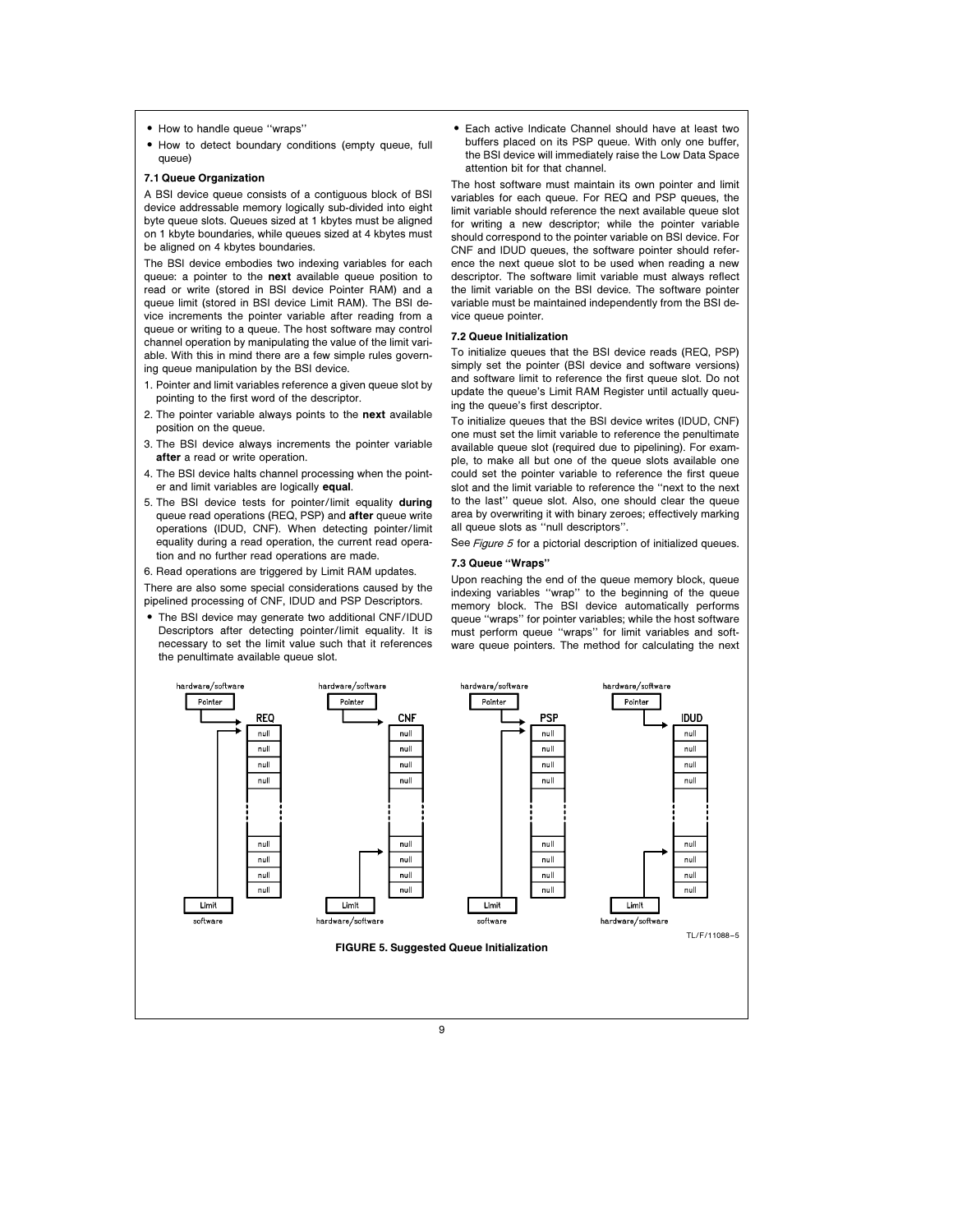- How to handle queue "wraps"
- How to detect boundary conditions (empty queue, full queue)

# 7.1 Queue Organization

A BSI device queue consists of a contiguous block of BSI device addressable memory logically sub-divided into eight byte queue slots. Queues sized at 1 kbytes must be aligned on 1 kbyte boundaries, while queues sized at 4 kbytes must be aligned on 4 kbytes boundaries.

The BSI device embodies two indexing variables for each queue: a pointer to the **next** available queue position to read or write (stored in BSI device Pointer RAM) and a queue limit (stored in BSI device Limit RAM). The BSI device increments the pointer variable after reading from a queue or writing to a queue. The host software may control channel operation by manipulating the value of the limit variable. With this in mind there are a few simple rules governing queue manipulation by the BSI device.

- 1. Pointer and limit variables reference a given queue slot by pointing to the first word of the descriptor.
- 2. The pointer variable always points to the next available position on the queue.
- 3. The BSI device always increments the pointer variable after a read or write operation.
- 4. The BSI device halts channel processing when the pointer and limit variables are logically equal.
- 5. The BSI device tests for pointer/limit equality during queue read operations (REQ, PSP) and after queue write operations (IDUD, CNF). When detecting pointer/limit equality during a read operation, the current read operation and no further read operations are made.
- 6. Read operations are triggered by Limit RAM updates.

There are also some special considerations caused by the pipelined processing of CNF, IDUD and PSP Descriptors.

The BSI device may generate two additional CNF/IDUD Descriptors after detecting pointer/limit equality. It is necessary to set the limit value such that it references the penultimate available queue slot.

. Each active Indicate Channel should have at least two buffers placed on its PSP queue. With only one buffer, the BSI device will immediately raise the Low Data Space attention bit for that channel.

The host software must maintain its own pointer and limit variables for each queue. For REQ and PSP queues, the limit variable should reference the next available queue slot for writing a new descriptor; while the pointer variable should correspond to the pointer variable on BSI device. For CNF and IDUD queues, the software pointer should reference the next queue slot to be used when reading a new descriptor. The software limit variable must always reflect the limit variable on the BSI device. The software pointer variable must be maintained independently from the BSI device queue pointer.

# 7.2 Queue Initialization

To initialize queues that the BSI device reads (REQ, PSP) simply set the pointer (BSI device and software versions) and software limit to reference the first queue slot. Do not update the queue's Limit RAM Register until actually queuing the queue's first descriptor.

To initialize queues that the BSI device writes (IDUD, CNF) one must set the limit variable to reference the penultimate available queue slot (required due to pipelining). For example, to make all but one of the queue slots available one could set the pointer variable to reference the first queue slot and the limit variable to reference the ''next to the next to the last'' queue slot. Also, one should clear the queue area by overwriting it with binary zeroes; effectively marking all queue slots as ''null descriptors''.

See Figure 5 for a pictorial description of initialized queues.

# 7.3 Queue ''Wraps''

Upon reaching the end of the queue memory block, queue indexing variables ''wrap'' to the beginning of the queue memory block. The BSI device automatically performs queue ''wraps'' for pointer variables; while the host software must perform queue ''wraps'' for limit variables and software queue pointers. The method for calculating the next